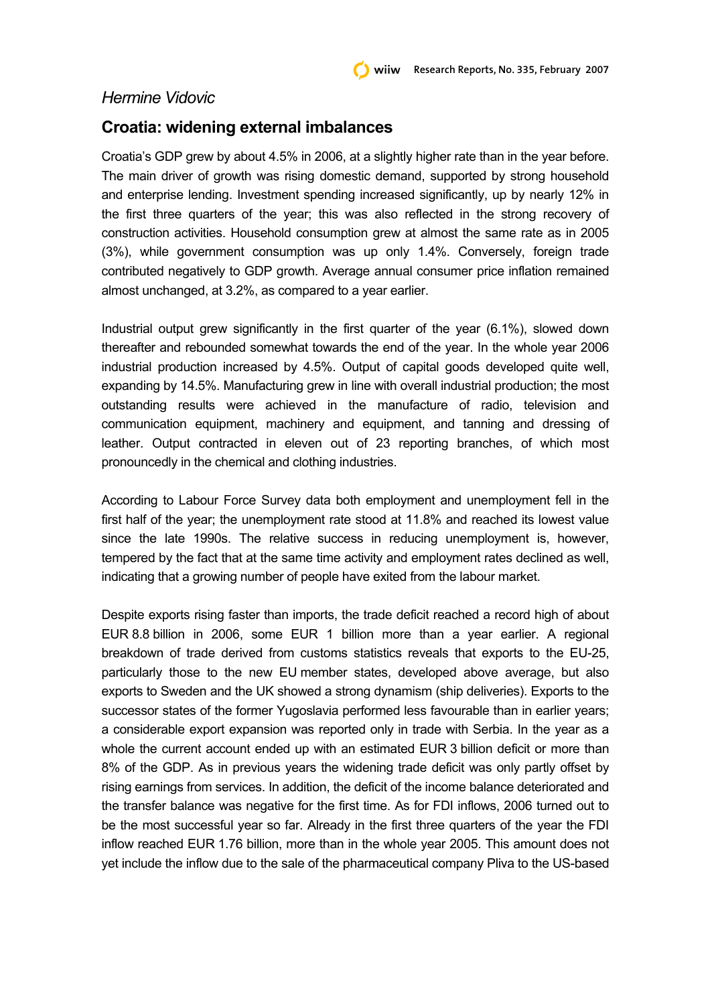## *Hermine Vidovic*

## **Croatia: widening external imbalances**

Croatia's GDP grew by about 4.5% in 2006, at a slightly higher rate than in the year before. The main driver of growth was rising domestic demand, supported by strong household and enterprise lending. Investment spending increased significantly, up by nearly 12% in the first three quarters of the year; this was also reflected in the strong recovery of construction activities. Household consumption grew at almost the same rate as in 2005 (3%), while government consumption was up only 1.4%. Conversely, foreign trade contributed negatively to GDP growth. Average annual consumer price inflation remained almost unchanged, at 3.2%, as compared to a year earlier.

Industrial output grew significantly in the first quarter of the year (6.1%), slowed down thereafter and rebounded somewhat towards the end of the year. In the whole year 2006 industrial production increased by 4.5%. Output of capital goods developed quite well, expanding by 14.5%. Manufacturing grew in line with overall industrial production; the most outstanding results were achieved in the manufacture of radio, television and communication equipment, machinery and equipment, and tanning and dressing of leather. Output contracted in eleven out of 23 reporting branches, of which most pronouncedly in the chemical and clothing industries.

According to Labour Force Survey data both employment and unemployment fell in the first half of the year; the unemployment rate stood at 11.8% and reached its lowest value since the late 1990s. The relative success in reducing unemployment is, however, tempered by the fact that at the same time activity and employment rates declined as well, indicating that a growing number of people have exited from the labour market.

Despite exports rising faster than imports, the trade deficit reached a record high of about EUR 8.8 billion in 2006, some EUR 1 billion more than a year earlier. A regional breakdown of trade derived from customs statistics reveals that exports to the EU-25, particularly those to the new EU member states, developed above average, but also exports to Sweden and the UK showed a strong dynamism (ship deliveries). Exports to the successor states of the former Yugoslavia performed less favourable than in earlier years; a considerable export expansion was reported only in trade with Serbia. In the year as a whole the current account ended up with an estimated EUR 3 billion deficit or more than 8% of the GDP. As in previous years the widening trade deficit was only partly offset by rising earnings from services. In addition, the deficit of the income balance deteriorated and the transfer balance was negative for the first time. As for FDI inflows, 2006 turned out to be the most successful year so far. Already in the first three quarters of the year the FDI inflow reached EUR 1.76 billion, more than in the whole year 2005. This amount does not yet include the inflow due to the sale of the pharmaceutical company Pliva to the US-based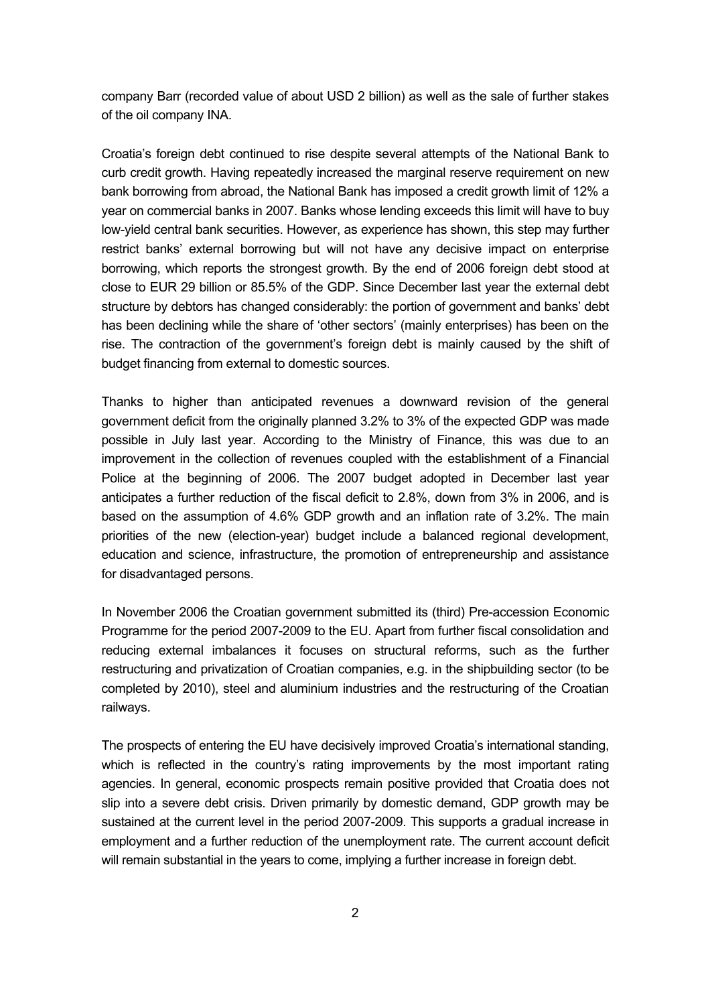company Barr (recorded value of about USD 2 billion) as well as the sale of further stakes of the oil company INA.

Croatia's foreign debt continued to rise despite several attempts of the National Bank to curb credit growth. Having repeatedly increased the marginal reserve requirement on new bank borrowing from abroad, the National Bank has imposed a credit growth limit of 12% a year on commercial banks in 2007. Banks whose lending exceeds this limit will have to buy low-yield central bank securities. However, as experience has shown, this step may further restrict banks' external borrowing but will not have any decisive impact on enterprise borrowing, which reports the strongest growth. By the end of 2006 foreign debt stood at close to EUR 29 billion or 85.5% of the GDP. Since December last year the external debt structure by debtors has changed considerably: the portion of government and banks' debt has been declining while the share of 'other sectors' (mainly enterprises) has been on the rise. The contraction of the government's foreign debt is mainly caused by the shift of budget financing from external to domestic sources.

Thanks to higher than anticipated revenues a downward revision of the general government deficit from the originally planned 3.2% to 3% of the expected GDP was made possible in July last year. According to the Ministry of Finance, this was due to an improvement in the collection of revenues coupled with the establishment of a Financial Police at the beginning of 2006. The 2007 budget adopted in December last year anticipates a further reduction of the fiscal deficit to 2.8%, down from 3% in 2006, and is based on the assumption of 4.6% GDP growth and an inflation rate of 3.2%. The main priorities of the new (election-year) budget include a balanced regional development, education and science, infrastructure, the promotion of entrepreneurship and assistance for disadvantaged persons.

In November 2006 the Croatian government submitted its (third) Pre-accession Economic Programme for the period 2007-2009 to the EU. Apart from further fiscal consolidation and reducing external imbalances it focuses on structural reforms, such as the further restructuring and privatization of Croatian companies, e.g. in the shipbuilding sector (to be completed by 2010), steel and aluminium industries and the restructuring of the Croatian railways.

The prospects of entering the EU have decisively improved Croatia's international standing, which is reflected in the country's rating improvements by the most important rating agencies. In general, economic prospects remain positive provided that Croatia does not slip into a severe debt crisis. Driven primarily by domestic demand, GDP growth may be sustained at the current level in the period 2007-2009. This supports a gradual increase in employment and a further reduction of the unemployment rate. The current account deficit will remain substantial in the years to come, implying a further increase in foreign debt.